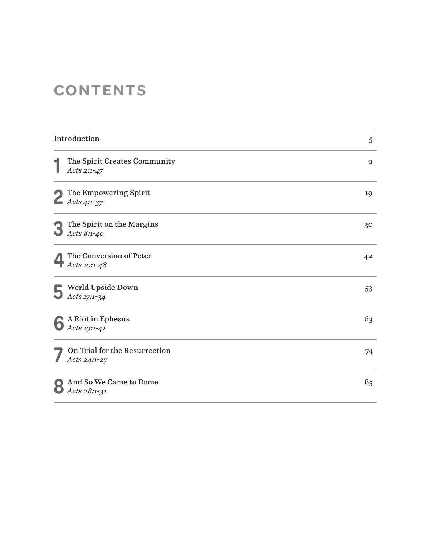# **CONTENTS**

| Introduction |                                                  | 5              |
|--------------|--------------------------------------------------|----------------|
| q            | The Spirit Creates Community<br>Acts 2:1-47      | 9              |
|              | The Empowering Spirit<br>$\triangle$ Acts 4:1-37 | 19             |
| $\mathbf{C}$ | The Spirit on the Margins<br>Acts 8:1-40         | 30             |
|              | The Conversion of Peter<br>Acts 10:1-48          | 4 <sup>2</sup> |
|              | World Upside Down<br>Acts 17:1-34                | 53             |
|              | A Riot in Ephesus<br>Acts 19:1-41                | 63             |
|              | On Trial for the Resurrection<br>Acts 24:1-27    | 74             |
|              | And So We Came to Rome<br>Acts $28:1-31$         | 85             |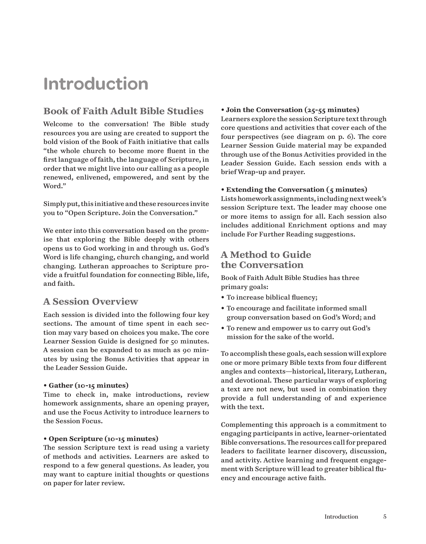# **Introduction**

# **Book of Faith Adult Bible Studies**

Welcome to the conversation! The Bible study resources you are using are created to support the bold vision of the Book of Faith initiative that calls "the whole church to become more fluent in the first language of faith, the language of Scripture, in order that we might live into our calling as a people renewed, enlivened, empowered, and sent by the Word."

Simply put, this initiative and these resources invite you to "Open Scripture. Join the Conversation."

We enter into this conversation based on the promise that exploring the Bible deeply with others opens us to God working in and through us. God's Word is life changing, church changing, and world changing. Lutheran approaches to Scripture provide a fruitful foundation for connecting Bible, life, and faith.

# **A Session Overview**

Each session is divided into the following four key sections. The amount of time spent in each section may vary based on choices you make. The core Learner Session Guide is designed for 50 minutes. A session can be expanded to as much as 90 minutes by using the Bonus Activities that appear in the Leader Session Guide.

# • **Gather (10-15 minutes)**

Time to check in, make introductions, review homework assignments, share an opening prayer, and use the Focus Activity to introduce learners to the Session Focus.

# • **Open Scripture (10-15 minutes)**

The session Scripture text is read using a variety of methods and activities. Learners are asked to respond to a few general questions. As leader, you may want to capture initial thoughts or questions on paper for later review.

# • **Join the Conversation (25-55 minutes)**

Learners explore the session Scripture text through core questions and activities that cover each of the four perspectives (see diagram on p. 6). The core Learner Session Guide material may be expanded through use of the Bonus Activities provided in the Leader Session Guide. Each session ends with a brief Wrap-up and prayer.

# • **Extending the Conversation (5 minutes)**

Lists homework assignments, including next week's session Scripture text. The leader may choose one or more items to assign for all. Each session also includes additional Enrichment options and may include For Further Reading suggestions.

# **A Method to Guide the Conversation**

Book of Faith Adult Bible Studies has three primary goals:

- To increase biblical fluency;
- To encourage and facilitate informed small group conversation based on God's Word; and
- To renew and empower us to carry out God's mission for the sake of the world.

To accomplish these goals, each session will explore one or more primary Bible texts from four different angles and contexts—historical, literary, Lutheran, and devotional. These particular ways of exploring a text are not new, but used in combination they provide a full understanding of and experience with the text.

Complementing this approach is a commitment to engaging participants in active, learner-orientated Bible conversations. The resources call for prepared leaders to facilitate learner discovery, discussion, and activity. Active learning and frequent engagement with Scripture will lead to greater biblical fluency and encourage active faith.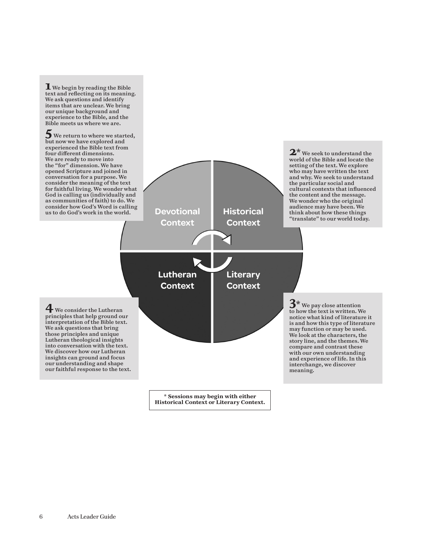**Devotional Context Lutheran Context Historical Context Literary Context 1** We begin by reading the Bible text and reflecting on its meaning. We ask questions and identify items that are unclear. We bring our unique background and experience to the Bible, and the Bible meets us where we are.  $\overline{\mathbf{5}}$  We return to where we started, but now we have explored and experienced the Bible text from four different dimensions. We are ready to move into the "for" dimension. We have opened Scripture and joined in conversation for a purpose. We consider the meaning of the text for faithful living. We wonder what God is calling us (individually and as communities of faith) to do. We consider how God's Word is calling us to do God's work in the world. **2\*** We seek to understand the world of the Bible and locate the setting of the text. We explore who may have written the text and why. We seek to understand the particular social and cultural contexts that influenced the content and the message. We wonder who the original audience may have been. We think about how these things "translate" to our world today. **4** We consider the Lutheran principles that help ground our interpretation of the Bible text. We ask questions that bring those principles and unique Lutheran theological insights into conversation with the text. We discover how our Lutheran insights can ground and focus our understanding and shape our faithful response to the text. **3\*** We pay close attention to how the text is written. We notice what kind of literature it is and how this type of literature may function or may be used. We look at the characters, the story line, and the themes. We compare and contrast these with our own understanding and experience of life. In this interchange, we discover meaning.

**\* Sessions may begin with either Historical Context or Literary Context.**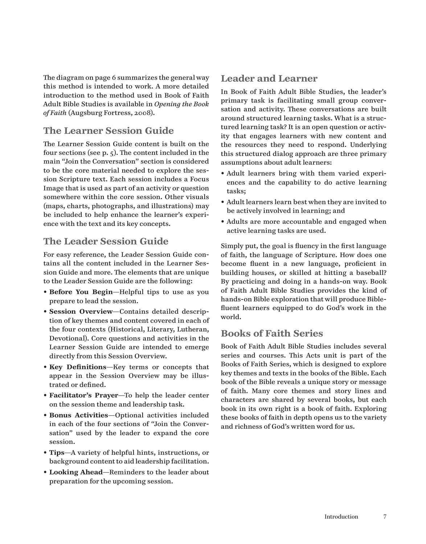The diagram on page 6 summarizes the general way this method is intended to work. A more detailed introduction to the method used in Book of Faith Adult Bible Studies is available in *Opening the Book of Faith* (Augsburg Fortress, 2008).

# **The Learner Session Guide**

The Learner Session Guide content is built on the four sections (see p. 5). The content included in the main "Join the Conversation" section is considered to be the core material needed to explore the session Scripture text. Each session includes a Focus Image that is used as part of an activity or question somewhere within the core session. Other visuals (maps, charts, photographs, and illustrations) may be included to help enhance the learner's experience with the text and its key concepts.

# **The Leader Session Guide**

For easy reference, the Leader Session Guide contains all the content included in the Learner Session Guide and more. The elements that are unique to the Leader Session Guide are the following:

- **Before You Begin**—Helpful tips to use as you prepare to lead the session.
- **Session Overview**—Contains detailed description of key themes and content covered in each of the four contexts (Historical, Literary, Lutheran, Devotional). Core questions and activities in the Learner Session Guide are intended to emerge directly from this Session Overview.
- **Key Definitions**—Key terms or concepts that appear in the Session Overview may be illustrated or defined.
- **Facilitator's Prayer**—To help the leader center on the session theme and leadership task.
- **Bonus Activities**—Optional activities included in each of the four sections of "Join the Conversation" used by the leader to expand the core session.
- **Tips**—A variety of helpful hints, instructions, or background content to aid leadership facilitation.
- **Looking Ahead**—Reminders to the leader about preparation for the upcoming session.

# **Leader and Learner**

In Book of Faith Adult Bible Studies, the leader's primary task is facilitating small group conversation and activity. These conversations are built around structured learning tasks. What is a structured learning task? It is an open question or activity that engages learners with new content and the resources they need to respond. Underlying this structured dialog approach are three primary assumptions about adult learners:

- Adult learners bring with them varied experiences and the capability to do active learning tasks;
- Adult learners learn best when they are invited to be actively involved in learning; and
- Adults are more accountable and engaged when active learning tasks are used.

Simply put, the goal is fluency in the first language of faith, the language of Scripture. How does one become fluent in a new language, proficient in building houses, or skilled at hitting a baseball? By practicing and doing in a hands-on way. Book of Faith Adult Bible Studies provides the kind of hands-on Bible exploration that will produce Biblefluent learners equipped to do God's work in the world.

# **Books of Faith Series**

Book of Faith Adult Bible Studies includes several series and courses. This Acts unit is part of the Books of Faith Series, which is designed to explore key themes and texts in the books of the Bible. Each book of the Bible reveals a unique story or message of faith. Many core themes and story lines and characters are shared by several books, but each book in its own right is a book of faith. Exploring these books of faith in depth opens us to the variety and richness of God's written word for us.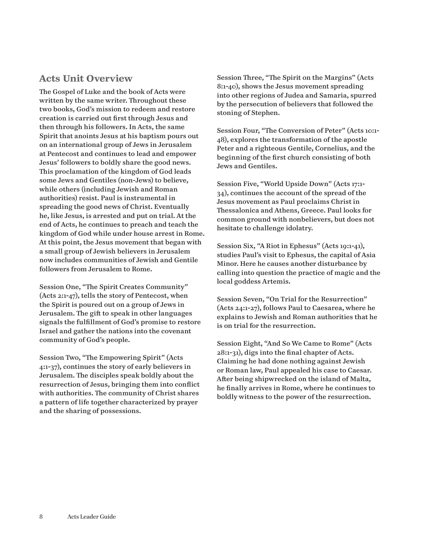# **Acts Unit Overview**

The Gospel of Luke and the book of Acts were written by the same writer. Throughout these two books, God's mission to redeem and restore creation is carried out first through Jesus and then through his followers. In Acts, the same Spirit that anoints Jesus at his baptism pours out on an international group of Jews in Jerusalem at Pentecost and continues to lead and empower Jesus' followers to boldly share the good news. This proclamation of the kingdom of God leads some Jews and Gentiles (non-Jews) to believe, while others (including Jewish and Roman authorities) resist. Paul is instrumental in spreading the good news of Christ. Eventually he, like Jesus, is arrested and put on trial. At the end of Acts, he continues to preach and teach the kingdom of God while under house arrest in Rome. At this point, the Jesus movement that began with a small group of Jewish believers in Jerusalem now includes communities of Jewish and Gentile followers from Jerusalem to Rome.

Session One, "The Spirit Creates Community" (Acts 2:1-47), tells the story of Pentecost, when the Spirit is poured out on a group of Jews in Jerusalem. The gift to speak in other languages signals the fulfillment of God's promise to restore Israel and gather the nations into the covenant community of God's people.

Session Two, "The Empowering Spirit" (Acts 4:1-37), continues the story of early believers in Jerusalem. The disciples speak boldly about the resurrection of Jesus, bringing them into conflict with authorities. The community of Christ shares a pattern of life together characterized by prayer and the sharing of possessions.

Session Three, "The Spirit on the Margins" (Acts 8:1-40), shows the Jesus movement spreading into other regions of Judea and Samaria, spurred by the persecution of believers that followed the stoning of Stephen.

Session Four, "The Conversion of Peter" (Acts 10:1- 48), explores the transformation of the apostle Peter and a righteous Gentile, Cornelius, and the beginning of the first church consisting of both Jews and Gentiles.

Session Five, "World Upside Down" (Acts 17:1- 34), continues the account of the spread of the Jesus movement as Paul proclaims Christ in Thessalonica and Athens, Greece. Paul looks for common ground with nonbelievers, but does not hesitate to challenge idolatry.

Session Six, "A Riot in Ephesus" (Acts 19:1-41), studies Paul's visit to Ephesus, the capital of Asia Minor. Here he causes another disturbance by calling into question the practice of magic and the local goddess Artemis.

Session Seven, "On Trial for the Resurrection" (Acts 24:1-27), follows Paul to Caesarea, where he explains to Jewish and Roman authorities that he is on trial for the resurrection.

Session Eight, "And So We Came to Rome" (Acts 28:1-31), digs into the final chapter of Acts. Claiming he had done nothing against Jewish or Roman law, Paul appealed his case to Caesar. After being shipwrecked on the island of Malta, he finally arrives in Rome, where he continues to boldly witness to the power of the resurrection.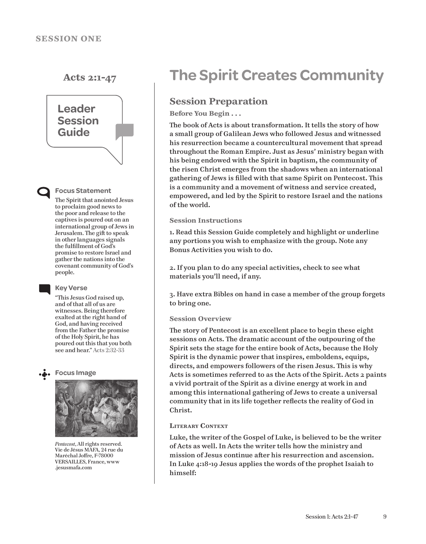

### **Focus Statement**

The Spirit that anointed Jesus to proclaim good news to the poor and release to the captives is poured out on an international group of Jews in Jerusalem. The gift to speak in other languages signals the fulfillment of God's promise to restore Israel and gather the nations into the covenant community of God's people.

### **Key Verse**

"This Jesus God raised up, and of that all of us are witnesses. Being therefore exalted at the right hand of God, and having received from the Father the promise of the Holy Spirit, he has poured out this that you both see and hear." Acts 2:32-33





*Pentecost*, All rights reserved. Vie de Jésus MAFA, 24 rue du Maréchal Joffre, F-78000 VERSAILLES, France, www .jesusmafa.com

# **Acts 2:1-47 The Spirit Creates Community**

# **Session Preparation**

# **Before You Begin . . .**

The book of Acts is about transformation. It tells the story of how a small group of Galilean Jews who followed Jesus and witnessed his resurrection became a countercultural movement that spread throughout the Roman Empire. Just as Jesus' ministry began with his being endowed with the Spirit in baptism, the community of the risen Christ emerges from the shadows when an international gathering of Jews is filled with that same Spirit on Pentecost. This is a community and a movement of witness and service created, empowered, and led by the Spirit to restore Israel and the nations of the world.

## **Session Instructions**

1. Read this Session Guide completely and highlight or underline any portions you wish to emphasize with the group. Note any Bonus Activities you wish to do.

2. If you plan to do any special activities, check to see what materials you'll need, if any.

3. Have extra Bibles on hand in case a member of the group forgets to bring one.

## **Session Overview**

The story of Pentecost is an excellent place to begin these eight sessions on Acts. The dramatic account of the outpouring of the Spirit sets the stage for the entire book of Acts, because the Holy Spirit is the dynamic power that inspires, emboldens, equips, directs, and empowers followers of the risen Jesus. This is why Acts is sometimes referred to as the Acts of the Spirit. Acts 2 paints a vivid portrait of the Spirit as a divine energy at work in and among this international gathering of Jews to create a universal community that in its life together reflects the reality of God in Christ.

# **Literary Context**

Luke, the writer of the Gospel of Luke, is believed to be the writer of Acts as well. In Acts the writer tells how the ministry and mission of Jesus continue after his resurrection and ascension. In Luke 4:18-19 Jesus applies the words of the prophet Isaiah to himself: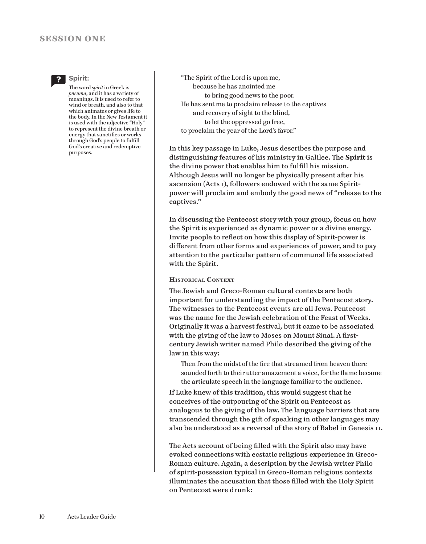# **session one**



## **Spirit:**

The word *spirit* in Greek is *pneuma*, and it has a variety of meanings. It is used to refer to wind or breath, and also to that which animates or gives life to the body. In the New Testament it is used with the adjective "Holy" to represent the divine breath or energy that sanctifies or works through God's people to fulfill God's creative and redemptive purposes.

"The Spirit of the Lord is upon me, because he has anointed me to bring good news to the poor. He has sent me to proclaim release to the captives and recovery of sight to the blind, to let the oppressed go free, to proclaim the year of the Lord's favor."

In this key passage in Luke, Jesus describes the purpose and distinguishing features of his ministry in Galilee. The **Spirit** is the divine power that enables him to fulfill his mission. Although Jesus will no longer be physically present after his ascension (Acts 1), followers endowed with the same Spiritpower will proclaim and embody the good news of "release to the captives."

In discussing the Pentecost story with your group, focus on how the Spirit is experienced as dynamic power or a divine energy. Invite people to reflect on how this display of Spirit-power is different from other forms and experiences of power, and to pay attention to the particular pattern of communal life associated with the Spirit.

# **Historical Context**

The Jewish and Greco-Roman cultural contexts are both important for understanding the impact of the Pentecost story. The witnesses to the Pentecost events are all Jews. Pentecost was the name for the Jewish celebration of the Feast of Weeks. Originally it was a harvest festival, but it came to be associated with the giving of the law to Moses on Mount Sinai. A firstcentury Jewish writer named Philo described the giving of the law in this way:

Then from the midst of the fire that streamed from heaven there sounded forth to their utter amazement a voice, for the flame became the articulate speech in the language familiar to the audience.

If Luke knew of this tradition, this would suggest that he conceives of the outpouring of the Spirit on Pentecost as analogous to the giving of the law. The language barriers that are transcended through the gift of speaking in other languages may also be understood as a reversal of the story of Babel in Genesis 11.

The Acts account of being filled with the Spirit also may have evoked connections with ecstatic religious experience in Greco-Roman culture. Again, a description by the Jewish writer Philo of spirit-possession typical in Greco-Roman religious contexts illuminates the accusation that those filled with the Holy Spirit on Pentecost were drunk: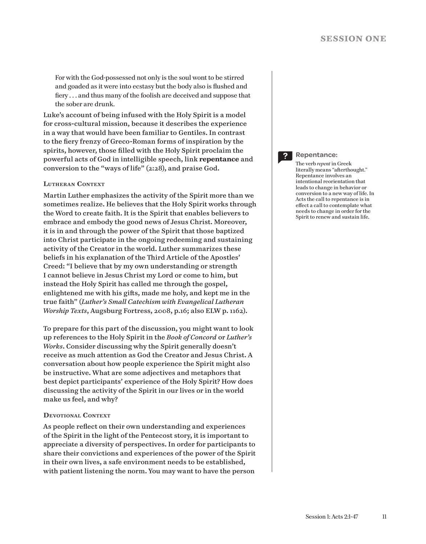For with the God-possessed not only is the soul wont to be stirred and goaded as it were into ecstasy but the body also is flushed and fiery . . . and thus many of the foolish are deceived and suppose that the sober are drunk.

Luke's account of being infused with the Holy Spirit is a model for cross-cultural mission, because it describes the experience in a way that would have been familiar to Gentiles. In contrast to the fiery frenzy of Greco-Roman forms of inspiration by the spirits, however, those filled with the Holy Spirit proclaim the powerful acts of God in intelligible speech, link **repentance** and conversion to the "ways of life" (2:28), and praise God.

### **Lutheran Context**

Martin Luther emphasizes the activity of the Spirit more than we sometimes realize. He believes that the Holy Spirit works through the Word to create faith. It is the Spirit that enables believers to embrace and embody the good news of Jesus Christ. Moreover, it is in and through the power of the Spirit that those baptized into Christ participate in the ongoing redeeming and sustaining activity of the Creator in the world. Luther summarizes these beliefs in his explanation of the Third Article of the Apostles' Creed: "I believe that by my own understanding or strength I cannot believe in Jesus Christ my Lord or come to him, but instead the Holy Spirit has called me through the gospel, enlightened me with his gifts, made me holy, and kept me in the true faith" (*Luther's Small Catechism with Evangelical Lutheran Worship Texts*, Augsburg Fortress, 2008, p.16; also ELW p. 1162).

To prepare for this part of the discussion, you might want to look up references to the Holy Spirit in the *Book of Concord* or *Luther's Works*. Consider discussing why the Spirit generally doesn't receive as much attention as God the Creator and Jesus Christ. A conversation about how people experience the Spirit might also be instructive. What are some adjectives and metaphors that best depict participants' experience of the Holy Spirit? How does discussing the activity of the Spirit in our lives or in the world make us feel, and why?

### **Devotional Context**

As people reflect on their own understanding and experiences of the Spirit in the light of the Pentecost story, it is important to appreciate a diversity of perspectives. In order for participants to share their convictions and experiences of the power of the Spirit in their own lives, a safe environment needs to be established, with patient listening the norm. You may want to have the person

### **Repentance:**

The verb *repent* in Greek literally means "afterthought." Repentance involves an intentional reorientation that leads to change in behavior or conversion to a new way of life. In Acts the call to repentance is in effect a call to contemplate what needs to change in order for the Spirit to renew and sustain life.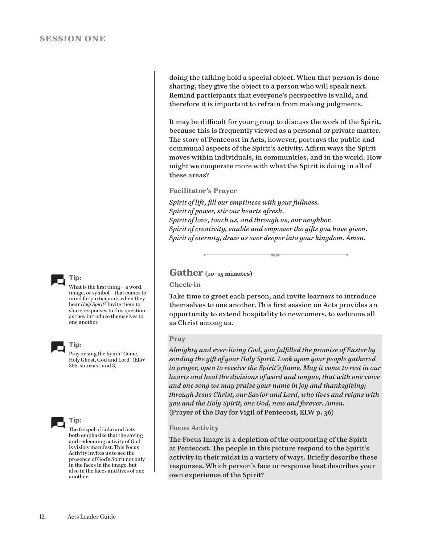**Tip:**

What is the first thing—a word, image, or symbol—that comes to mind for participants when they hear *Holy Spirit*? Invite them to share responses to this question as they introduce themselves to one another.



**Tip:**

Pray or sing the hymn "Come, Holy Ghost, God and Lord" (ELW 395, stanzas 1 and 3).



The Gospel of Luke and Acts both emphasize that the saving and redeeming activity of God is visibly manifest. This Focus Activity invites us to see the presence of God's Spirit not only in the faces in the image, but also in the faces and lives of one another.

doing the talking hold a special object. When that person is done sharing, they give the object to a person who will speak next. Remind participants that everyone's perspective is valid, and therefore it is important to refrain from making judgments.

It may be difficult for your group to discuss the work of the Spirit, because this is frequently viewed as a personal or private matter. The story of Pentecost in Acts, however, portrays the public and communal aspects of the Spirit's activity. Affirm ways the Spirit moves within individuals, in communities, and in the world. How might we cooperate more with what the Spirit is doing in all of these areas?

**Facilitator's Prayer**

*Spirit of life, fill our emptiness with your fullness. Spirit of power, stir our hearts afresh. Spirit of love, touch us, and through us, our neighbor. Spirit of creativity, enable and empower the gifts you have given. Spirit of eternity, draw us ever deeper into your kingdom. Amen.*

# **Gather (10–15 minutes)**

# **Check-in**

Take time to greet each person, and invite learners to introduce themselves to one another. This first session on Acts provides an opportunity to extend hospitality to newcomers, to welcome all as Christ among us.

an ing

# **Pray**

*Almighty and ever-living God, you fulfilled the promise of Easter by sending the gift of your Holy Spirit. Look upon your people gathered in prayer, open to receive the Spirit's flame. May it come to rest in our hearts and heal the divisions of word and tongue, that with one voice and one song we may praise your name in joy and thanksgiving; through Jesus Christ, our Savior and Lord, who lives and reigns with you and the Holy Spirit, one God, now and forever. Amen.* (Prayer of the Day for Vigil of Pentecost, ELW p. 36)

## **Focus Activity**

The Focus Image is a depiction of the outpouring of the Spirit at Pentecost. The people in this picture respond to the Spirit's activity in their midst in a variety of ways. Briefly describe these responses. Which person's face or response best describes your own experience of the Spirit?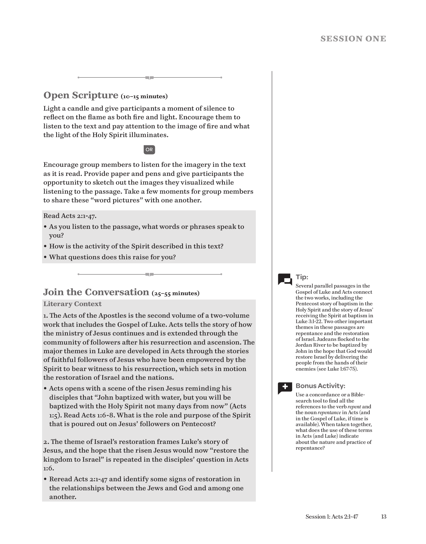# **Open Scripture (10–15 minutes)**

Light a candle and give participants a moment of silence to reflect on the flame as both fire and light. Encourage them to listen to the text and pay attention to the image of fire and what the light of the Holy Spirit illuminates.

# OR

Encourage group members to listen for the imagery in the text as it is read. Provide paper and pens and give participants the opportunity to sketch out the images they visualized while listening to the passage. Take a few moments for group members to share these "word pictures" with one another.

Read Acts 2:1-47.

- As you listen to the passage, what words or phrases speak to you?
- How is the activity of the Spirit described in this text?
- What questions does this raise for you?

# **Join the Conversation** (25-55 minutes)

# **Literary Context**

1. The Acts of the Apostles is the second volume of a two-volume work that includes the Gospel of Luke. Acts tells the story of how the ministry of Jesus continues and is extended through the community of followers after his resurrection and ascension. The major themes in Luke are developed in Acts through the stories of faithful followers of Jesus who have been empowered by the Spirit to bear witness to his resurrection, which sets in motion the restoration of Israel and the nations.

• Acts opens with a scene of the risen Jesus reminding his disciples that "John baptized with water, but you will be baptized with the Holy Spirit not many days from now" (Acts 1:5). Read Acts 1:6-8. What is the role and purpose of the Spirit that is poured out on Jesus' followers on Pentecost?

2. The theme of Israel's restoration frames Luke's story of Jesus, and the hope that the risen Jesus would now "restore the kingdom to Israel" is repeated in the disciples' question in Acts 1:6.

• Reread Acts 2:1-47 and identify some signs of restoration in the relationships between the Jews and God and among one another.

**Tip:**

Several parallel passages in the Gospel of Luke and Acts connect the two works, including the Pentecost story of baptism in the Holy Spirit and the story of Jesus' receiving the Spirit at baptism in Luke 3:1-22. Two other important themes in these passages are repentance and the restoration of Israel. Judeans flocked to the Jordan River to be baptized by John in the hope that God would restore Israel by delivering the people from the hands of their enemies (see Luke 1:67-75).



# **Bonus Activity:**

Use a concordance or a Biblesearch tool to find all the references to the verb *repent* and the noun *repentance* in Acts (and in the Gospel of Luke, if time is available). When taken together, what does the use of these terms in Acts (and Luke) indicate about the nature and practice of repentance?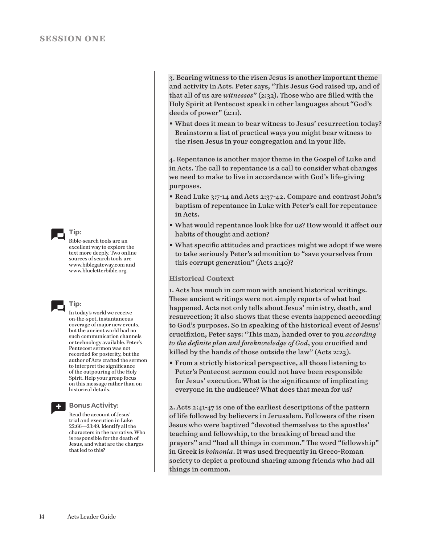

Bible-search tools are an excellent way to explore the text more deeply. Two online sources of search tools are www.biblegateway.com and www.blueletterbible.org.



In today's world we receive on-the-spot, instantaneous coverage of major new events, but the ancient world had no such communication channels or technology available. Peter's Pentecost sermon was not recorded for posterity, but the author of Acts crafted the sermon to interpret the significance of the outpouring of the Holy Spirit. Help your group focus on this message rather than on historical details.



### **Bonus Activity:**

Read the account of Jesus' trial and execution in Luke 22:66—23:49. Identify all the characters in the narrative. Who is responsible for the death of Jesus, and what are the charges that led to this?

3. Bearing witness to the risen Jesus is another important theme and activity in Acts. Peter says, "This Jesus God raised up, and of that all of us are *witnesses*" (2:32). Those who are filled with the Holy Spirit at Pentecost speak in other languages about "God's deeds of power" (2:11).

• What does it mean to bear witness to Jesus' resurrection today? Brainstorm a list of practical ways you might bear witness to the risen Jesus in your congregation and in your life.

4. Repentance is another major theme in the Gospel of Luke and in Acts. The call to repentance is a call to consider what changes we need to make to live in accordance with God's life-giving purposes.

- Read Luke 3:7-14 and Acts 2:37-42. Compare and contrast John's baptism of repentance in Luke with Peter's call for repentance in Acts.
- What would repentance look like for us? How would it affect our habits of thought and action?
- What specific attitudes and practices might we adopt if we were to take seriously Peter's admonition to "save yourselves from this corrupt generation" (Acts 2:40)?

## **Historical Context**

1. Acts has much in common with ancient historical writings. These ancient writings were not simply reports of what had happened. Acts not only tells about Jesus' ministry, death, and resurrection; it also shows that these events happened according to God's purposes. So in speaking of the historical event of Jesus' crucifixion, Peter says: "This man, handed over to you *according to the definite plan and foreknowledge of God*, you crucified and killed by the hands of those outside the law" (Acts 2:23).

• From a strictly historical perspective, all those listening to Peter's Pentecost sermon could not have been responsible for Jesus' execution. What is the significance of implicating everyone in the audience? What does that mean for us?

2. Acts 2:41-47 is one of the earliest descriptions of the pattern of life followed by believers in Jerusalem. Followers of the risen Jesus who were baptized "devoted themselves to the apostles' teaching and fellowship, to the breaking of bread and the prayers" and "had all things in common." The word "fellowship" in Greek is *koinonia*. It was used frequently in Greco-Roman society to depict a profound sharing among friends who had all things in common.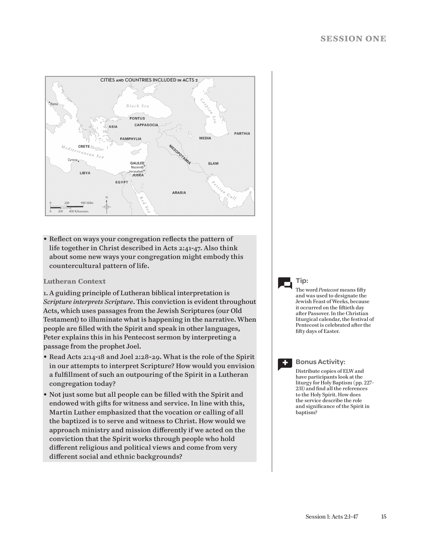

• Reflect on ways your congregation reflects the pattern of life together in Christ described in Acts 2:41-47. Also think about some new ways your congregation might embody this countercultural pattern of life.

# **Lutheran Context**

1. A guiding principle of Lutheran biblical interpretation is *Scripture interprets Scripture*. This conviction is evident throughout Acts, which uses passages from the Jewish Scriptures (our Old Testament) to illuminate what is happening in the narrative. When people are filled with the Spirit and speak in other languages, Peter explains this in his Pentecost sermon by interpreting a passage from the prophet Joel.

- Read Acts 2:14-18 and Joel 2:28-29. What is the role of the Spirit in our attempts to interpret Scripture? How would you envision a fulfillment of such an outpouring of the Spirit in a Lutheran congregation today?
- Not just some but all people can be filled with the Spirit and endowed with gifts for witness and service. In line with this, Martin Luther emphasized that the vocation or calling of all the baptized is to serve and witness to Christ. How would we approach ministry and mission differently if we acted on the conviction that the Spirit works through people who hold different religious and political views and come from very different social and ethnic backgrounds?

# **Tip:**

The word *Pentecost* means fifty and was used to designate the Jewish Feast of Weeks, because it occurred on the fiftieth day after Passover. In the Christian liturgical calendar, the festival of Pentecost is celebrated after the fifty days of Easter.



### **Bonus Activity:**

Distribute copies of ELW and have participants look at the liturgy for Holy Baptism (pp. 227– 231) and find all the references to the Holy Spirit. How does the service describe the role and significance of the Spirit in baptism?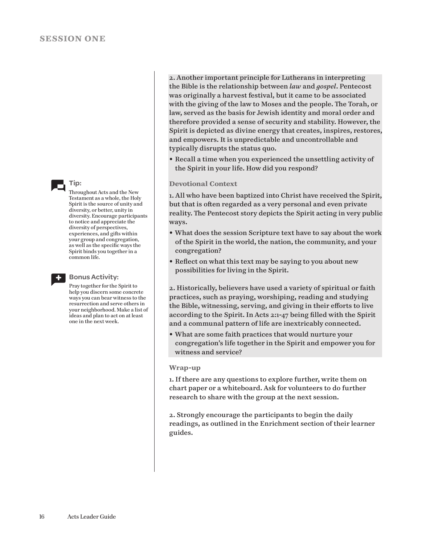

Throughout Acts and the New Testament as a whole, the Holy Spirit is the source of unity and diversity, or better, unity in diversity. Encourage participants to notice and appreciate the diversity of perspectives, experiences, and gifts within your group and congregation, as well as the specific ways the Spirit binds you together in a common life.



### **Bonus Activity:**

Pray together for the Spirit to help you discern some concrete ways you can bear witness to the resurrection and serve others in your neighborhood. Make a list of ideas and plan to act on at least one in the next week.

2. Another important principle for Lutherans in interpreting the Bible is the relationship between *law* and *gospel*. Pentecost was originally a harvest festival, but it came to be associated with the giving of the law to Moses and the people. The Torah, or law, served as the basis for Jewish identity and moral order and therefore provided a sense of security and stability. However, the Spirit is depicted as divine energy that creates, inspires, restores, and empowers. It is unpredictable and uncontrollable and typically disrupts the status quo.

• Recall a time when you experienced the unsettling activity of the Spirit in your life. How did you respond?

## **Devotional Context**

1. All who have been baptized into Christ have received the Spirit, but that is often regarded as a very personal and even private reality. The Pentecost story depicts the Spirit acting in very public ways.

- What does the session Scripture text have to say about the work of the Spirit in the world, the nation, the community, and your congregation?
- Reflect on what this text may be saying to you about new possibilities for living in the Spirit.

2. Historically, believers have used a variety of spiritual or faith practices, such as praying, worshiping, reading and studying the Bible, witnessing, serving, and giving in their efforts to live according to the Spirit. In Acts 2:1-47 being filled with the Spirit and a communal pattern of life are inextricably connected.

• What are some faith practices that would nurture your congregation's life together in the Spirit and empower you for witness and service?

### **Wrap-up**

1. If there are any questions to explore further, write them on chart paper or a whiteboard. Ask for volunteers to do further research to share with the group at the next session.

2. Strongly encourage the participants to begin the daily readings, as outlined in the Enrichment section of their learner guides.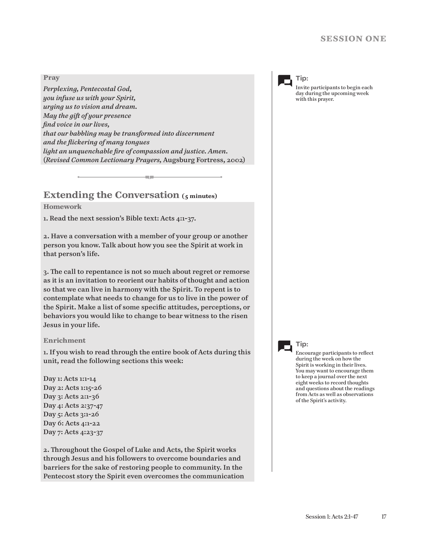## **Pray**

*Perplexing, Pentecostal God, you infuse us with your Spirit, urging us to vision and dream. May the gift of your presence find voice in our lives, that our babbling may be transformed into discernment and the flickering of many tongues light an unquenchable fire of compassion and justice. Amen.* (*Revised Common Lectionary Prayers,* Augsburg Fortress, 2002)

a m

# **Extending the Conversation (5 minutes)**

# **Homework**

1. Read the next session's Bible text: Acts 4:1-37.

2. Have a conversation with a member of your group or another person you know. Talk about how you see the Spirit at work in that person's life.

3. The call to repentance is not so much about regret or remorse as it is an invitation to reorient our habits of thought and action so that we can live in harmony with the Spirit. To repent is to contemplate what needs to change for us to live in the power of the Spirit. Make a list of some specific attitudes, perceptions, or behaviors you would like to change to bear witness to the risen Jesus in your life.

## **Enrichment**

1. If you wish to read through the entire book of Acts during this unit, read the following sections this week:

Day 1: Acts 1:1-14 Day 2: Acts 1:15-26 Day 3: Acts 2:1-36 Day 4: Acts 2:37-47 Day 5: Acts 3:1-26 Day 6: Acts 4:1-22 Day 7: Acts 4:23-37

2. Throughout the Gospel of Luke and Acts, the Spirit works through Jesus and his followers to overcome boundaries and barriers for the sake of restoring people to community. In the Pentecost story the Spirit even overcomes the communication

**Tip:**

Invite participants to begin each day during the upcoming week with this prayer.



# **Tip:**

Encourage participants to reflect during the week on how the Spirit is working in their lives. You may want to encourage them to keep a journal over the next eight weeks to record thoughts and questions about the readings from Acts as well as observations of the Spirit's activity.